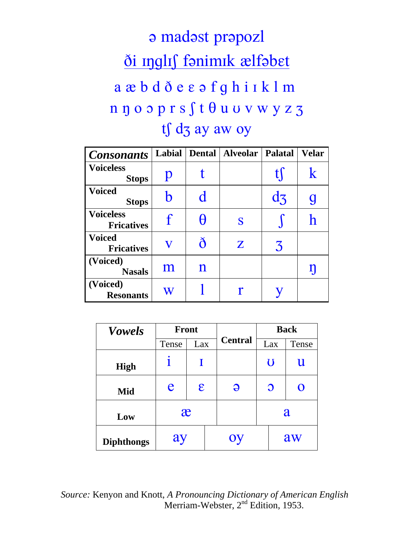## a madast prapozl <u>ði nglif fanimik ælfabet</u> a æ b d ð e  $\varepsilon$  a f g h i I k l m  $n p o o p r s f t \theta u v v w y z z$ tf d3 ay aw oy

| <b>Consonants</b>                     | Labial                  | Dental      | Alveolar   Palatal |                | <b>Velar</b> |
|---------------------------------------|-------------------------|-------------|--------------------|----------------|--------------|
| <b>Voiceless</b><br><b>Stops</b>      | p                       |             |                    | tl             | $\bf k$      |
| <b>Voiced</b><br><b>Stops</b>         |                         | d           |                    | d <sub>3</sub> | g            |
| <b>Voiceless</b><br><b>Fricatives</b> | $\mathbf f$             | H           | S                  |                |              |
| <b>Voiced</b><br><b>Fricatives</b>    | $\overline{\mathbf{V}}$ | ð           | Z                  | 3              |              |
| (Voiced)<br><b>Nasals</b>             | ${\rm m}$               | $\mathbf n$ |                    |                | $\mathbf{I}$ |
| (Voiced)<br><b>Resonants</b>          | W                       |             |                    |                |              |

| <b>Vowels</b>     | <b>Front</b> |            |  | <b>Back</b>    |              |     |             |  |
|-------------------|--------------|------------|--|----------------|--------------|-----|-------------|--|
|                   | Tense        | Lax        |  | <b>Central</b> |              | Lax | Tense       |  |
| <b>High</b>       |              | I          |  |                | $\bf{U}$     |     | $\mathbf u$ |  |
| Mid               | e            | $\epsilon$ |  | Э              | $\mathbf{O}$ |     | O           |  |
| Low               | æ            |            |  |                | a            |     |             |  |
| <b>Diphthongs</b> | ay           |            |  | Oy             |              |     | aw          |  |

*Source:* Kenyon and Knott, *A Pronouncing Dictionary of American English*  Merriam-Webster, 2<sup>nd</sup> Edition, 1953.